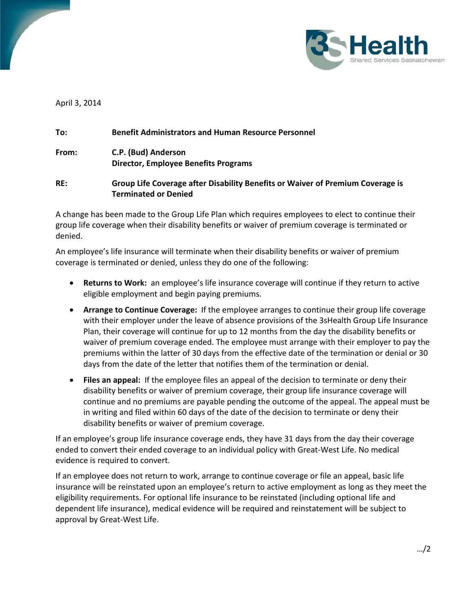

April 3, 2014

| To:   | <b>Benefit Administrators and Human Resource Personnel</b>                                                    |
|-------|---------------------------------------------------------------------------------------------------------------|
| From: | C.P. (Bud) Anderson<br><b>Director, Employee Benefits Programs</b>                                            |
| RE:   | Group Life Coverage after Disability Benefits or Waiver of Premium Coverage is<br><b>Terminated or Denied</b> |

A change has been made to the Group Life Plan which requires employees to elect to continue their group life coverage when their disability benefits or waiver of premium coverage is terminated or denied.

An employee's life insurance will terminate when their disability benefits or waiver of premium coverage is terminated or denied, unless they do one of the following:

- **Returns to Work:** an employee's life insurance coverage will continue if they return to active eligible employment and begin paying premiums.
- **Arrange to Continue Coverage:** If the employee arranges to continue their group life coverage with their employer under the leave of absence provisions of the 3sHealth Group Life Insurance Plan, their coverage will continue for up to 12 months from the day the disability benefits or waiver of premium coverage ended. The employee must arrange with their employer to pay the premiums within the latter of 30 days from the effective date of the termination or denial or 30 days from the date of the letter that notifies them of the termination or denial.
- **Files an appeal:** If the employee files an appeal of the decision to terminate or deny their disability benefits or waiver of premium coverage, their group life insurance coverage will continue and no premiums are payable pending the outcome of the appeal. The appeal must be in writing and filed within 60 days of the date of the decision to terminate or deny their disability benefits or waiver of premium coverage.

If an employee's group life insurance coverage ends, they have 31 days from the day their coverage ended to convert their ended coverage to an individual policy with Great-West Life. No medical evidence is required to convert.

If an employee does not return to work, arrange to continue coverage or file an appeal, basic life insurance will be reinstated upon an employee's return to active employment as long as they meet the eligibility requirements. For optional life insurance to be reinstated (including optional life and dependent life insurance), medical evidence will be required and reinstatement will be subject to approval by Great-West Life.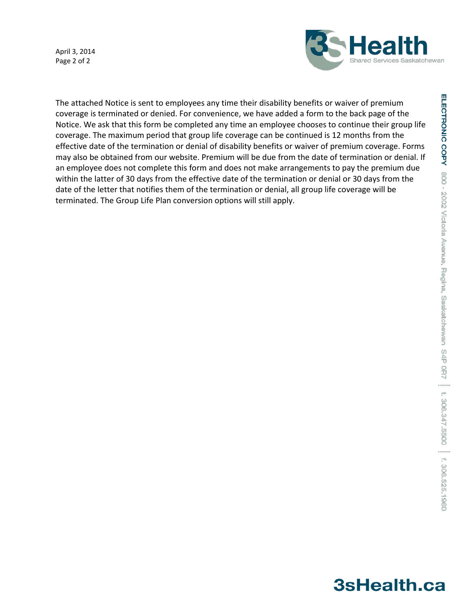April 3, 2014 Page 2 of 2



The attached Notice is sent to employees any time their disability benefits or waiver of premium coverage is terminated or denied. For convenience, we have added a form to the back page of the Notice. We ask that this form be completed any time an employee chooses to continue their group life coverage. The maximum period that group life coverage can be continued is 12 months from the effective date of the termination or denial of disability benefits or waiver of premium coverage. Forms may also be obtained from our website. Premium will be due from the date of termination or denial. If an employee does not complete this form and does not make arrangements to pay the premium due within the latter of 30 days from the effective date of the termination or denial or 30 days from the date of the letter that notifies them of the termination or denial, all group life coverage will be terminated. The Group Life Plan conversion options will still apply.

## 3sHealth.ca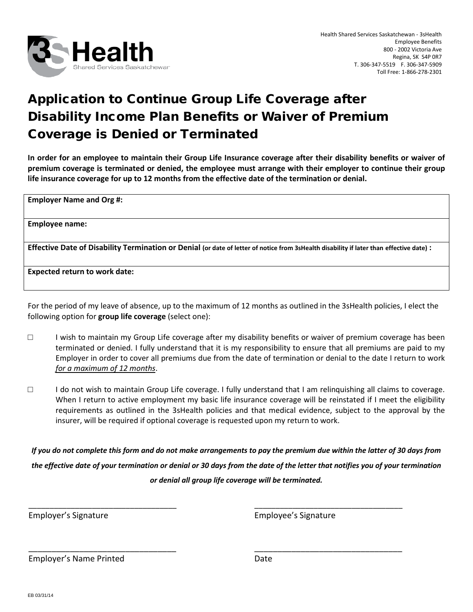

## Application to Continue Group Life Coverage after Disability Income Plan Benefits or Waiver of Premium Coverage is Denied or Terminated

**In order for an employee to maintain their Group Life Insurance coverage after their disability benefits or waiver of premium coverage is terminated or denied, the employee must arrange with their employer to continue their group life insurance coverage for up to 12 months from the effective date of the termination or denial.**

**Employer Name and Org #:**

**Employee name:**

**Effective Date of Disability Termination or Denial (or date of letter of notice from 3sHealth disability if later than effective date) :** 

**Expected return to work date:**

For the period of my leave of absence, up to the maximum of 12 months as outlined in the 3sHealth policies, I elect the following option for **group life coverage** (select one):

- □ I wish to maintain my Group Life coverage after my disability benefits or waiver of premium coverage has been terminated or denied. I fully understand that it is my responsibility to ensure that all premiums are paid to my Employer in order to cover all premiums due from the date of termination or denial to the date I return to work *for a maximum of 12 months*.
- □ I do not wish to maintain Group Life coverage. I fully understand that I am relinquishing all claims to coverage. When I return to active employment my basic life insurance coverage will be reinstated if I meet the eligibility requirements as outlined in the 3sHealth policies and that medical evidence, subject to the approval by the insurer, will be required if optional coverage is requested upon my return to work.

*If you do not complete this form and do not make arrangements to pay the premium due within the latter of 30 days from the effective date of your termination or denial or 30 days from the date of the letter that notifies you of your termination or denial all group life coverage will be terminated.*

\_\_\_\_\_\_\_\_\_\_\_\_\_\_\_\_\_\_\_\_\_\_\_\_\_\_\_\_\_\_\_\_\_\_\_ \_\_\_\_\_\_\_\_\_\_\_\_\_\_\_\_\_\_\_\_\_\_\_\_\_\_\_\_\_\_\_\_\_\_\_

\_\_\_\_\_\_\_\_\_\_\_\_\_\_\_\_\_\_\_\_\_\_\_\_\_\_\_\_\_\_\_\_ \_\_\_\_\_\_\_\_\_\_\_\_\_\_\_\_\_\_\_\_\_\_\_\_\_\_\_\_\_\_\_\_

Employer's Signature Employee's Signature

Employer's Name Printed **Date** Date